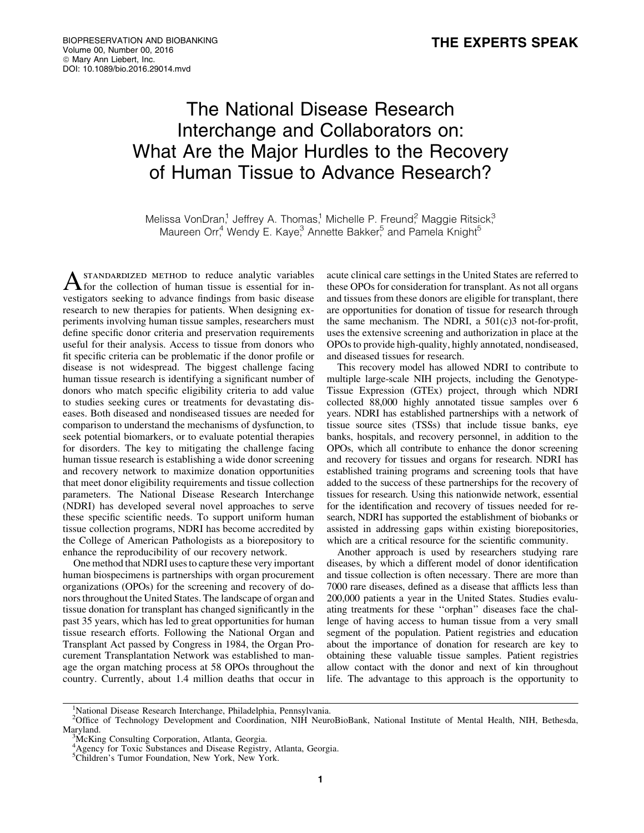# The National Disease Research Interchange and Collaborators on: What Are the Major Hurdles to the Recovery of Human Tissue to Advance Research?

Melissa VonDran,<sup>1</sup> Jeffrey A. Thomas,<sup>1</sup> Michelle P. Freund,<sup>2</sup> Maggie Ritsick,<sup>3</sup> Maureen Orr<sup>4</sup>, Wendy E. Kaye<sup>3</sup> Annette Bakker<sup>5</sup> and Pamela Knight<sup>5</sup>

A STANDARDIZED METHOD to reduce analytic variables<br>for the collection of human tissue is essential for investigators seeking to advance findings from basic disease research to new therapies for patients. When designing experiments involving human tissue samples, researchers must define specific donor criteria and preservation requirements useful for their analysis. Access to tissue from donors who fit specific criteria can be problematic if the donor profile or disease is not widespread. The biggest challenge facing human tissue research is identifying a significant number of donors who match specific eligibility criteria to add value to studies seeking cures or treatments for devastating diseases. Both diseased and nondiseased tissues are needed for comparison to understand the mechanisms of dysfunction, to seek potential biomarkers, or to evaluate potential therapies for disorders. The key to mitigating the challenge facing human tissue research is establishing a wide donor screening and recovery network to maximize donation opportunities that meet donor eligibility requirements and tissue collection parameters. The National Disease Research Interchange (NDRI) has developed several novel approaches to serve these specific scientific needs. To support uniform human tissue collection programs, NDRI has become accredited by the College of American Pathologists as a biorepository to enhance the reproducibility of our recovery network.

One method that NDRI uses to capture these very important human biospecimens is partnerships with organ procurement organizations (OPOs) for the screening and recovery of donors throughout the United States. The landscape of organ and tissue donation for transplant has changed significantly in the past 35 years, which has led to great opportunities for human tissue research efforts. Following the National Organ and Transplant Act passed by Congress in 1984, the Organ Procurement Transplantation Network was established to manage the organ matching process at 58 OPOs throughout the country. Currently, about 1.4 million deaths that occur in acute clinical care settings in the United States are referred to these OPOs for consideration for transplant. As not all organs and tissues from these donors are eligible for transplant, there are opportunities for donation of tissue for research through the same mechanism. The NDRI, a  $501(c)3$  not-for-profit, uses the extensive screening and authorization in place at the OPOs to provide high-quality, highly annotated, nondiseased, and diseased tissues for research.

This recovery model has allowed NDRI to contribute to multiple large-scale NIH projects, including the Genotype-Tissue Expression (GTEx) project, through which NDRI collected 88,000 highly annotated tissue samples over 6 years. NDRI has established partnerships with a network of tissue source sites (TSSs) that include tissue banks, eye banks, hospitals, and recovery personnel, in addition to the OPOs, which all contribute to enhance the donor screening and recovery for tissues and organs for research. NDRI has established training programs and screening tools that have added to the success of these partnerships for the recovery of tissues for research. Using this nationwide network, essential for the identification and recovery of tissues needed for research, NDRI has supported the establishment of biobanks or assisted in addressing gaps within existing biorepositories, which are a critical resource for the scientific community.

Another approach is used by researchers studying rare diseases, by which a different model of donor identification and tissue collection is often necessary. There are more than 7000 rare diseases, defined as a disease that afflicts less than 200,000 patients a year in the United States. Studies evaluating treatments for these ''orphan'' diseases face the challenge of having access to human tissue from a very small segment of the population. Patient registries and education about the importance of donation for research are key to obtaining these valuable tissue samples. Patient registries allow contact with the donor and next of kin throughout life. The advantage to this approach is the opportunity to

<sup>1</sup> National Disease Research Interchange, Philadelphia, Pennsylvania.

<sup>2</sup> Office of Technology Development and Coordination, NIH NeuroBioBank, National Institute of Mental Health, NIH, Bethesda, Maryland.

<sup>&</sup>lt;sup>3</sup>McKing Consulting Corporation, Atlanta, Georgia.

<sup>&</sup>lt;sup>4</sup>Agency for Toxic Substances and Disease Registry, Atlanta, Georgia.

<sup>&</sup>lt;sup>5</sup>Children's Tumor Foundation, New York, New York.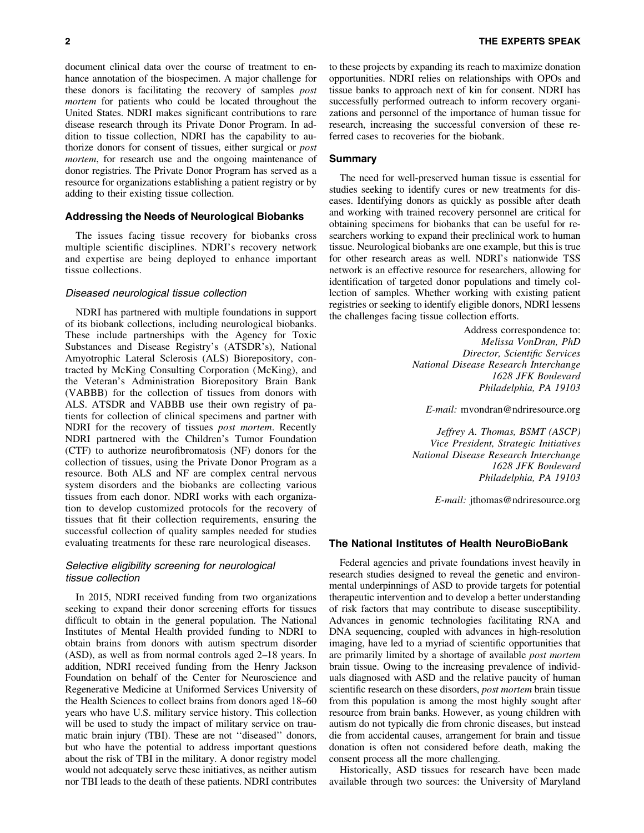document clinical data over the course of treatment to enhance annotation of the biospecimen. A major challenge for these donors is facilitating the recovery of samples *post mortem* for patients who could be located throughout the United States. NDRI makes significant contributions to rare disease research through its Private Donor Program. In addition to tissue collection, NDRI has the capability to authorize donors for consent of tissues, either surgical or *post mortem*, for research use and the ongoing maintenance of donor registries. The Private Donor Program has served as a resource for organizations establishing a patient registry or by adding to their existing tissue collection.

#### Addressing the Needs of Neurological Biobanks

The issues facing tissue recovery for biobanks cross multiple scientific disciplines. NDRI's recovery network and expertise are being deployed to enhance important tissue collections.

### Diseased neurological tissue collection

NDRI has partnered with multiple foundations in support of its biobank collections, including neurological biobanks. These include partnerships with the Agency for Toxic Substances and Disease Registry's (ATSDR's), National Amyotrophic Lateral Sclerosis (ALS) Biorepository, contracted by McKing Consulting Corporation (McKing), and the Veteran's Administration Biorepository Brain Bank (VABBB) for the collection of tissues from donors with ALS. ATSDR and VABBB use their own registry of patients for collection of clinical specimens and partner with NDRI for the recovery of tissues *post mortem*. Recently NDRI partnered with the Children's Tumor Foundation (CTF) to authorize neurofibromatosis (NF) donors for the collection of tissues, using the Private Donor Program as a resource. Both ALS and NF are complex central nervous system disorders and the biobanks are collecting various tissues from each donor. NDRI works with each organization to develop customized protocols for the recovery of tissues that fit their collection requirements, ensuring the successful collection of quality samples needed for studies evaluating treatments for these rare neurological diseases.

# Selective eligibility screening for neurological tissue collection

In 2015, NDRI received funding from two organizations seeking to expand their donor screening efforts for tissues difficult to obtain in the general population. The National Institutes of Mental Health provided funding to NDRI to obtain brains from donors with autism spectrum disorder (ASD), as well as from normal controls aged 2–18 years. In addition, NDRI received funding from the Henry Jackson Foundation on behalf of the Center for Neuroscience and Regenerative Medicine at Uniformed Services University of the Health Sciences to collect brains from donors aged 18–60 years who have U.S. military service history. This collection will be used to study the impact of military service on traumatic brain injury (TBI). These are not ''diseased'' donors, but who have the potential to address important questions about the risk of TBI in the military. A donor registry model would not adequately serve these initiatives, as neither autism nor TBI leads to the death of these patients. NDRI contributes to these projects by expanding its reach to maximize donation opportunities. NDRI relies on relationships with OPOs and tissue banks to approach next of kin for consent. NDRI has successfully performed outreach to inform recovery organizations and personnel of the importance of human tissue for research, increasing the successful conversion of these referred cases to recoveries for the biobank.

#### Summary

The need for well-preserved human tissue is essential for studies seeking to identify cures or new treatments for diseases. Identifying donors as quickly as possible after death and working with trained recovery personnel are critical for obtaining specimens for biobanks that can be useful for researchers working to expand their preclinical work to human tissue. Neurological biobanks are one example, but this is true for other research areas as well. NDRI's nationwide TSS network is an effective resource for researchers, allowing for identification of targeted donor populations and timely collection of samples. Whether working with existing patient registries or seeking to identify eligible donors, NDRI lessens the challenges facing tissue collection efforts.

> Address correspondence to: *Melissa VonDran, PhD Director, Scientific Services National Disease Research Interchange 1628 JFK Boulevard Philadelphia, PA 19103*

*E-mail:* mvondran@ndriresource.org

*Jeffrey A. Thomas, BSMT (ASCP) Vice President, Strategic Initiatives National Disease Research Interchange 1628 JFK Boulevard Philadelphia, PA 19103*

*E-mail:* jthomas@ndriresource.org

# The National Institutes of Health NeuroBioBank

Federal agencies and private foundations invest heavily in research studies designed to reveal the genetic and environmental underpinnings of ASD to provide targets for potential therapeutic intervention and to develop a better understanding of risk factors that may contribute to disease susceptibility. Advances in genomic technologies facilitating RNA and DNA sequencing, coupled with advances in high-resolution imaging, have led to a myriad of scientific opportunities that are primarily limited by a shortage of available *post mortem* brain tissue. Owing to the increasing prevalence of individuals diagnosed with ASD and the relative paucity of human scientific research on these disorders, *post mortem* brain tissue from this population is among the most highly sought after resource from brain banks. However, as young children with autism do not typically die from chronic diseases, but instead die from accidental causes, arrangement for brain and tissue donation is often not considered before death, making the consent process all the more challenging.

Historically, ASD tissues for research have been made available through two sources: the University of Maryland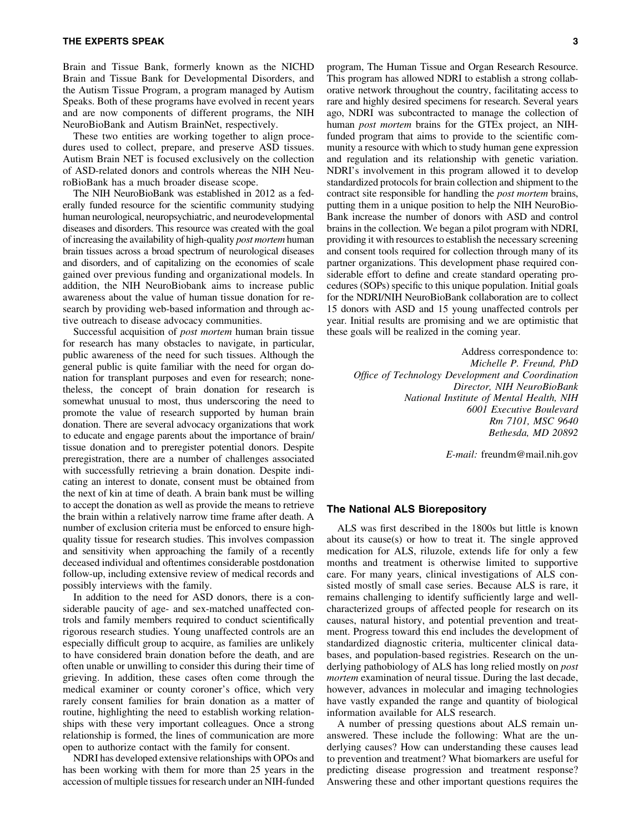#### THE EXPERTS SPEAK 3

Brain and Tissue Bank, formerly known as the NICHD Brain and Tissue Bank for Developmental Disorders, and the Autism Tissue Program, a program managed by Autism Speaks. Both of these programs have evolved in recent years and are now components of different programs, the NIH NeuroBioBank and Autism BrainNet, respectively.

These two entities are working together to align procedures used to collect, prepare, and preserve ASD tissues. Autism Brain NET is focused exclusively on the collection of ASD-related donors and controls whereas the NIH NeuroBioBank has a much broader disease scope.

The NIH NeuroBioBank was established in 2012 as a federally funded resource for the scientific community studying human neurological, neuropsychiatric, and neurodevelopmental diseases and disorders. This resource was created with the goal of increasing the availability of high-quality *post mortem* human brain tissues across a broad spectrum of neurological diseases and disorders, and of capitalizing on the economies of scale gained over previous funding and organizational models. In addition, the NIH NeuroBiobank aims to increase public awareness about the value of human tissue donation for research by providing web-based information and through active outreach to disease advocacy communities.

Successful acquisition of *post mortem* human brain tissue for research has many obstacles to navigate, in particular, public awareness of the need for such tissues. Although the general public is quite familiar with the need for organ donation for transplant purposes and even for research; nonetheless, the concept of brain donation for research is somewhat unusual to most, thus underscoring the need to promote the value of research supported by human brain donation. There are several advocacy organizations that work to educate and engage parents about the importance of brain/ tissue donation and to preregister potential donors. Despite preregistration, there are a number of challenges associated with successfully retrieving a brain donation. Despite indicating an interest to donate, consent must be obtained from the next of kin at time of death. A brain bank must be willing to accept the donation as well as provide the means to retrieve the brain within a relatively narrow time frame after death. A number of exclusion criteria must be enforced to ensure highquality tissue for research studies. This involves compassion and sensitivity when approaching the family of a recently deceased individual and oftentimes considerable postdonation follow-up, including extensive review of medical records and possibly interviews with the family.

In addition to the need for ASD donors, there is a considerable paucity of age- and sex-matched unaffected controls and family members required to conduct scientifically rigorous research studies. Young unaffected controls are an especially difficult group to acquire, as families are unlikely to have considered brain donation before the death, and are often unable or unwilling to consider this during their time of grieving. In addition, these cases often come through the medical examiner or county coroner's office, which very rarely consent families for brain donation as a matter of routine, highlighting the need to establish working relationships with these very important colleagues. Once a strong relationship is formed, the lines of communication are more open to authorize contact with the family for consent.

NDRI has developed extensive relationships with OPOs and has been working with them for more than 25 years in the accession of multiple tissues for research under an NIH-funded program, The Human Tissue and Organ Research Resource. This program has allowed NDRI to establish a strong collaborative network throughout the country, facilitating access to rare and highly desired specimens for research. Several years ago, NDRI was subcontracted to manage the collection of human *post mortem* brains for the GTEx project, an NIHfunded program that aims to provide to the scientific community a resource with which to study human gene expression and regulation and its relationship with genetic variation. NDRI's involvement in this program allowed it to develop standardized protocols for brain collection and shipment to the contract site responsible for handling the *post mortem* brains, putting them in a unique position to help the NIH NeuroBio-Bank increase the number of donors with ASD and control brains in the collection. We began a pilot program with NDRI, providing it with resources to establish the necessary screening and consent tools required for collection through many of its partner organizations. This development phase required considerable effort to define and create standard operating procedures (SOPs) specific to this unique population. Initial goals for the NDRI/NIH NeuroBioBank collaboration are to collect 15 donors with ASD and 15 young unaffected controls per year. Initial results are promising and we are optimistic that these goals will be realized in the coming year.

Address correspondence to: *Michelle P. Freund, PhD Office of Technology Development and Coordination Director, NIH NeuroBioBank National Institute of Mental Health, NIH 6001 Executive Boulevard Rm 7101, MSC 9640 Bethesda, MD 20892*

*E-mail:* freundm@mail.nih.gov

#### The National ALS Biorepository

ALS was first described in the 1800s but little is known about its cause(s) or how to treat it. The single approved medication for ALS, riluzole, extends life for only a few months and treatment is otherwise limited to supportive care. For many years, clinical investigations of ALS consisted mostly of small case series. Because ALS is rare, it remains challenging to identify sufficiently large and wellcharacterized groups of affected people for research on its causes, natural history, and potential prevention and treatment. Progress toward this end includes the development of standardized diagnostic criteria, multicenter clinical databases, and population-based registries. Research on the underlying pathobiology of ALS has long relied mostly on *post mortem* examination of neural tissue. During the last decade, however, advances in molecular and imaging technologies have vastly expanded the range and quantity of biological information available for ALS research.

A number of pressing questions about ALS remain unanswered. These include the following: What are the underlying causes? How can understanding these causes lead to prevention and treatment? What biomarkers are useful for predicting disease progression and treatment response? Answering these and other important questions requires the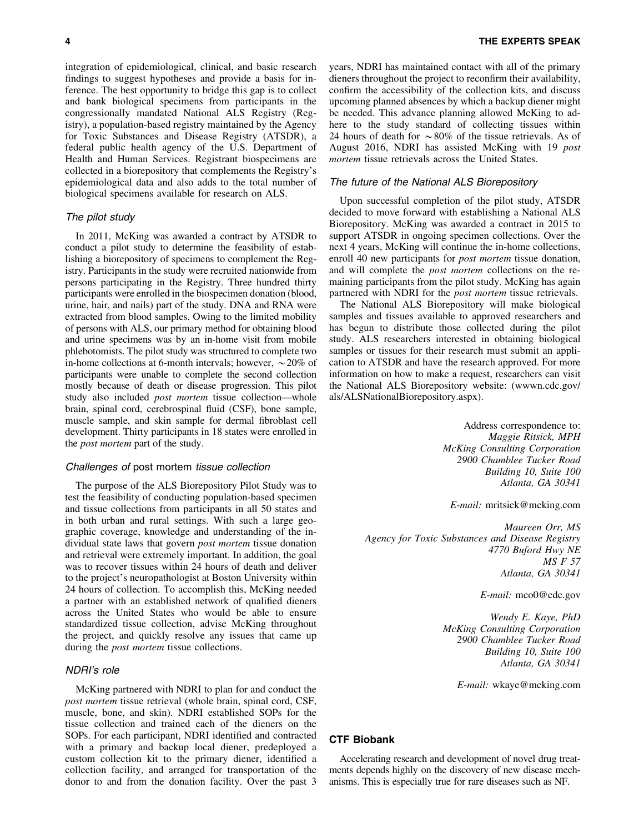integration of epidemiological, clinical, and basic research findings to suggest hypotheses and provide a basis for inference. The best opportunity to bridge this gap is to collect and bank biological specimens from participants in the congressionally mandated National ALS Registry (Registry), a population-based registry maintained by the Agency for Toxic Substances and Disease Registry (ATSDR), a federal public health agency of the U.S. Department of Health and Human Services. Registrant biospecimens are collected in a biorepository that complements the Registry's epidemiological data and also adds to the total number of biological specimens available for research on ALS.

#### The pilot study

In 2011, McKing was awarded a contract by ATSDR to conduct a pilot study to determine the feasibility of establishing a biorepository of specimens to complement the Registry. Participants in the study were recruited nationwide from persons participating in the Registry. Three hundred thirty participants were enrolled in the biospecimen donation (blood, urine, hair, and nails) part of the study. DNA and RNA were extracted from blood samples. Owing to the limited mobility of persons with ALS, our primary method for obtaining blood and urine specimens was by an in-home visit from mobile phlebotomists. The pilot study was structured to complete two in-home collections at 6-month intervals; however,  $\sim$  20% of participants were unable to complete the second collection mostly because of death or disease progression. This pilot study also included *post mortem* tissue collection—whole brain, spinal cord, cerebrospinal fluid (CSF), bone sample, muscle sample, and skin sample for dermal fibroblast cell development. Thirty participants in 18 states were enrolled in the *post mortem* part of the study.

## Challenges of post mortem tissue collection

The purpose of the ALS Biorepository Pilot Study was to test the feasibility of conducting population-based specimen and tissue collections from participants in all 50 states and in both urban and rural settings. With such a large geographic coverage, knowledge and understanding of the individual state laws that govern *post mortem* tissue donation and retrieval were extremely important. In addition, the goal was to recover tissues within 24 hours of death and deliver to the project's neuropathologist at Boston University within 24 hours of collection. To accomplish this, McKing needed a partner with an established network of qualified dieners across the United States who would be able to ensure standardized tissue collection, advise McKing throughout the project, and quickly resolve any issues that came up during the *post mortem* tissue collections.

## NDRI's role

McKing partnered with NDRI to plan for and conduct the *post mortem* tissue retrieval (whole brain, spinal cord, CSF, muscle, bone, and skin). NDRI established SOPs for the tissue collection and trained each of the dieners on the SOPs. For each participant, NDRI identified and contracted with a primary and backup local diener, predeployed a custom collection kit to the primary diener, identified a collection facility, and arranged for transportation of the donor to and from the donation facility. Over the past 3 years, NDRI has maintained contact with all of the primary dieners throughout the project to reconfirm their availability, confirm the accessibility of the collection kits, and discuss upcoming planned absences by which a backup diener might be needed. This advance planning allowed McKing to adhere to the study standard of collecting tissues within 24 hours of death for  $\sim 80\%$  of the tissue retrievals. As of August 2016, NDRI has assisted McKing with 19 *post mortem* tissue retrievals across the United States.

#### The future of the National ALS Biorepository

Upon successful completion of the pilot study, ATSDR decided to move forward with establishing a National ALS Biorepository. McKing was awarded a contract in 2015 to support ATSDR in ongoing specimen collections. Over the next 4 years, McKing will continue the in-home collections, enroll 40 new participants for *post mortem* tissue donation, and will complete the *post mortem* collections on the remaining participants from the pilot study. McKing has again partnered with NDRI for the *post mortem* tissue retrievals.

The National ALS Biorepository will make biological samples and tissues available to approved researchers and has begun to distribute those collected during the pilot study. ALS researchers interested in obtaining biological samples or tissues for their research must submit an application to ATSDR and have the research approved. For more information on how to make a request, researchers can visit the National ALS Biorepository website: (wwwn.cdc.gov/ als/ALSNationalBiorepository.aspx).

> Address correspondence to: *Maggie Ritsick, MPH McKing Consulting Corporation 2900 Chamblee Tucker Road Building 10, Suite 100 Atlanta, GA 30341*

#### *E-mail:* mritsick@mcking.com

*Maureen Orr, MS Agency for Toxic Substances and Disease Registry 4770 Buford Hwy NE MS F 57 Atlanta, GA 30341*

*E-mail:* mco0@cdc.gov

*Wendy E. Kaye, PhD McKing Consulting Corporation 2900 Chamblee Tucker Road Building 10, Suite 100 Atlanta, GA 30341*

*E-mail:* wkaye@mcking.com

# CTF Biobank

Accelerating research and development of novel drug treatments depends highly on the discovery of new disease mechanisms. This is especially true for rare diseases such as NF.